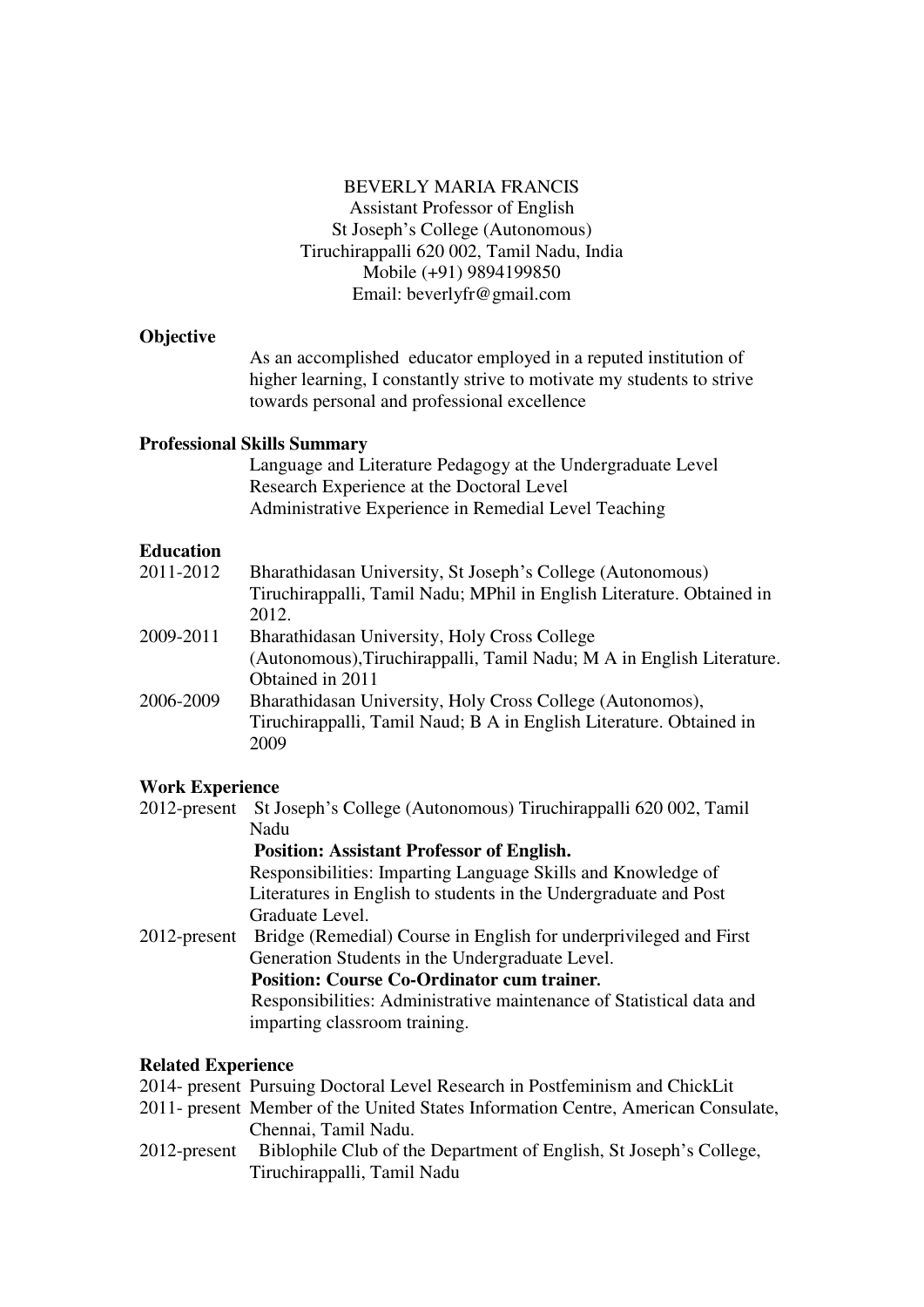### BEVERLY MARIA FRANCIS Assistant Professor of English St Joseph's College (Autonomous) Tiruchirappalli 620 002, Tamil Nadu, India Mobile (+91) 9894199850 Email: beverlyfr@gmail.com

### **Objective**

As an accomplished educator employed in a reputed institution of higher learning, I constantly strive to motivate my students to strive towards personal and professional excellence

### **Professional Skills Summary**

Language and Literature Pedagogy at the Undergraduate Level Research Experience at the Doctoral Level Administrative Experience in Remedial Level Teaching

## **Education**

| 2011-2012<br>Bharathidasan University, St Joseph's College (Autonomous) |  |
|-------------------------------------------------------------------------|--|
| Tiruchirappalli, Tamil Nadu; MPhil in English Literature. Obtained in   |  |
| 2012.                                                                   |  |
| 2009-2011<br>Bharathidasan University, Holy Cross College               |  |
| (Autonomous), Tiruchirappalli, Tamil Nadu; M A in English Literature.   |  |
| Obtained in 2011                                                        |  |
| Bharathidasan University, Holy Cross College (Autonomos),<br>2006-2009  |  |
| Tiruchirappalli, Tamil Naud; B A in English Literature. Obtained in     |  |
| 2009                                                                    |  |

## **Work Experience**

- 2012-present St Joseph's College (Autonomous) Tiruchirappalli 620 002, Tamil Nadu  **Position: Assistant Professor of English.** Responsibilities: Imparting Language Skills and Knowledge of Literatures in English to students in the Undergraduate and Post Graduate Level.
- 2012-present Bridge (Remedial) Course in English for underprivileged and First Generation Students in the Undergraduate Level.  **Position: Course Co-Ordinator cum trainer***.* Responsibilities: Administrative maintenance of Statistical data and

# imparting classroom training.

## **Related Experience**

- 2014- present Pursuing Doctoral Level Research in Postfeminism and ChickLit
- 2011- present Member of the United States Information Centre, American Consulate, Chennai, Tamil Nadu.
- 2012-present Biblophile Club of the Department of English, St Joseph's College, Tiruchirappalli, Tamil Nadu